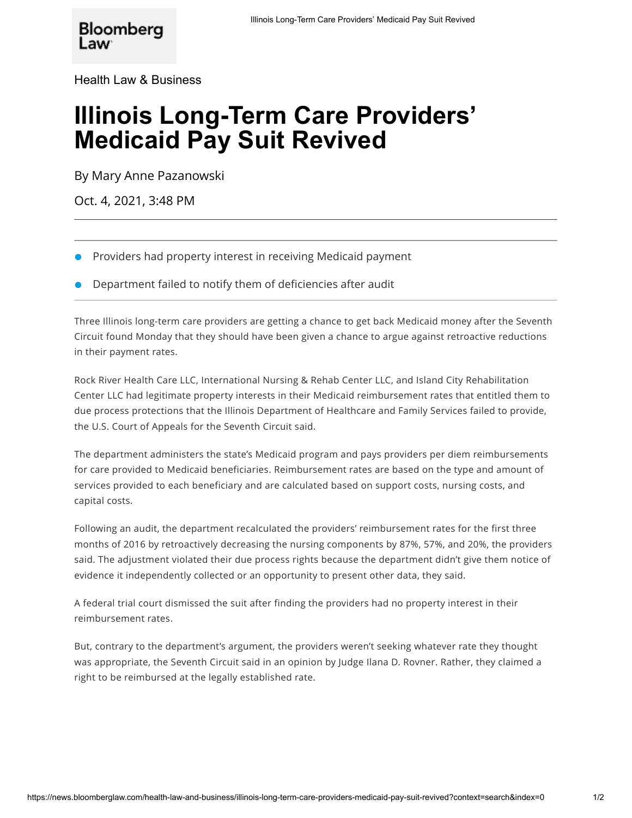[Health Law & Business](https://news.bloomberglaw.com/health-law-and-business/)

## **Illinois Long-Term Care Providers' Medicaid Pay Suit Revived**

By [Mary Anne Pazanowski](mailto:mpazanowski@bloomberglaw.com)

Oct. 4, 2021, 3:48 PM

- Providers had property interest in receiving Medicaid payment
- Department failed to notify them of deficiencies after audit

Three Illinois long-term care providers are getting a chance to get back Medicaid money after the Seventh Circuit found Monday that they should have been given a chance to argue against retroactive reductions in their payment rates.

Rock River Health Care LLC, International Nursing & Rehab Center LLC, and Island City Rehabilitation Center LLC had legitimate property interests in their Medicaid reimbursement rates that entitled them to due process protections that the Illinois Department of Healthcare and Family Services failed to provide, the U.S. Court of Appeals for the Seventh Circuit said.

The department administers the state's Medicaid program and pays providers per diem reimbursements for care provided to Medicaid beneficiaries. Reimbursement rates are based on the type and amount of services provided to each beneficiary and are calculated based on support costs, nursing costs, and capital costs.

Following an audit, the department recalculated the providers' reimbursement rates for the first three months of 2016 by retroactively decreasing the nursing components by 87%, 57%, and 20%, the providers said. The adjustment violated their due process rights because the department didn't give them notice of evidence it independently collected or an opportunity to present other data, they said.

A federal trial court [dismissed](https://news.bloomberglaw.com/health-law-and-business/nursing-home-operators-lose-fight-for-higher-medicaid-rates) the suit after finding the providers had no property interest in their reimbursement rates.

But, contrary to the department's argument, the providers weren't seeking whatever rate they thought was appropriate, the Seventh Circuit [said](https://www.bloomberglaw.com/public/document/RockRiverHealthCareLLCetalvTheresaAEaglesonDocketNo19027507thCirS?doc_id=X69O7CN0M9B92A8966DQBIBEOJT?fmt=pdf) in an opinion by Judge Ilana D. Rovner. Rather, they claimed a right to be reimbursed at the legally established rate.